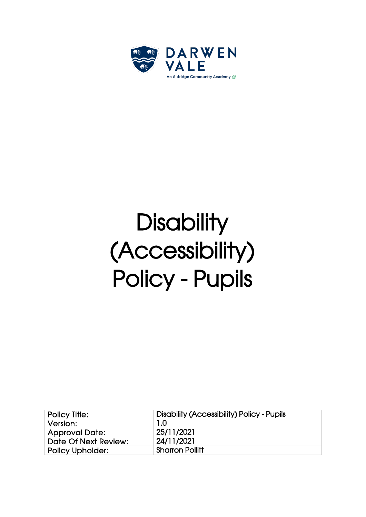

# **Disability** (Accessibility) Policy - Pupils

| <b>Policy Title:</b>    | <b>Disability (Accessibility) Policy - Pupils</b> |
|-------------------------|---------------------------------------------------|
| Version:                | 1.0                                               |
| <b>Approval Date:</b>   | 25/11/2021                                        |
| Date Of Next Review:    | 24/11/2021                                        |
| <b>Policy Upholder:</b> | <b>Sharron Pollitt</b>                            |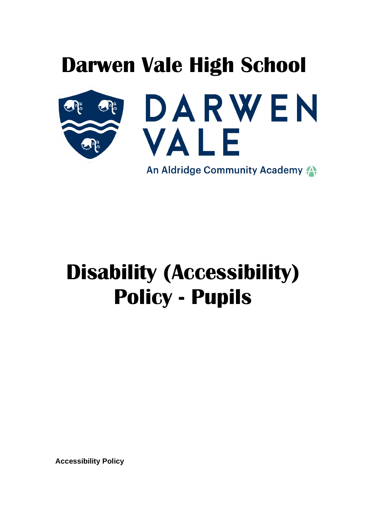

An Aldridge Community Academy

## **Disability (Accessibility) Policy - Pupils**

**Accessibility Policy**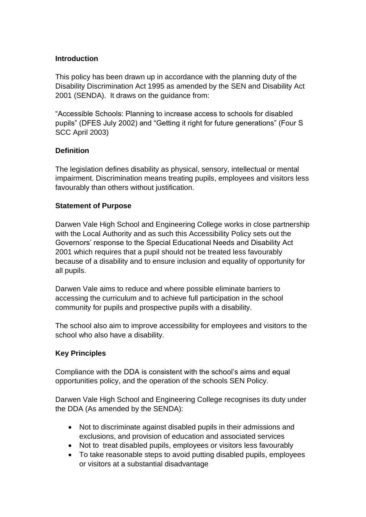#### **Introduction**

This policy has been drawn up in accordance with the planning duty of the Disability Discrimination Act 1995 as amended by the SEN and Disability Act 2001 (SENDA). It draws on the guidance from:

"Accessible Schools: Planning to increase access to schools for disabled pupils" (DFES July 2002) and "Getting it right for future generations" (Four S SCC April 2003)

#### **Definition**

The legislation defines disability as physical, sensory, intellectual or mental impairment. Discrimination means treating pupils, employees and visitors less favourably than others without justification.

#### **Statement of Purpose**

Darwen Vale High School and Engineering College works in close partnership with the Local Authority and as such this Accessibility Policy sets out the Governors' response to the Special Educational Needs and Disability Act 2001 which requires that a pupil should not be treated less favourably because of a disability and to ensure inclusion and equality of opportunity for all pupils.

Darwen Vale aims to reduce and where possible eliminate barriers to accessing the curriculum and to achieve full participation in the school community for pupils and prospective pupils with a disability.

The school also aim to improve accessibility for employees and visitors to the school who also have a disability.

#### **Key Principles**

Compliance with the DDA is consistent with the school's aims and equal opportunities policy, and the operation of the schools SEN Policy.

Darwen Vale High School and Engineering College recognises its duty under the DDA (As amended by the SENDA):

- Not to discriminate against disabled pupils in their admissions and exclusions, and provision of education and associated services
- Not to treat disabled pupils, employees or visitors less favourably
- To take reasonable steps to avoid putting disabled pupils, employees or visitors at a substantial disadvantage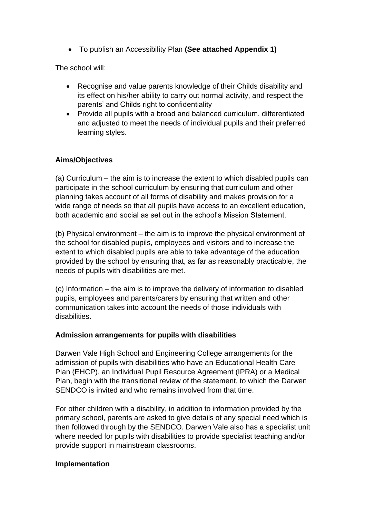• To publish an Accessibility Plan **(See attached Appendix 1)**

The school will:

- Recognise and value parents knowledge of their Childs disability and its effect on his/her ability to carry out normal activity, and respect the parents' and Childs right to confidentiality
- Provide all pupils with a broad and balanced curriculum, differentiated and adjusted to meet the needs of individual pupils and their preferred learning styles.

#### **Aims/Objectives**

(a) Curriculum – the aim is to increase the extent to which disabled pupils can participate in the school curriculum by ensuring that curriculum and other planning takes account of all forms of disability and makes provision for a wide range of needs so that all pupils have access to an excellent education, both academic and social as set out in the school's Mission Statement.

(b) Physical environment – the aim is to improve the physical environment of the school for disabled pupils, employees and visitors and to increase the extent to which disabled pupils are able to take advantage of the education provided by the school by ensuring that, as far as reasonably practicable, the needs of pupils with disabilities are met.

(c) Information – the aim is to improve the delivery of information to disabled pupils, employees and parents/carers by ensuring that written and other communication takes into account the needs of those individuals with disabilities.

#### **Admission arrangements for pupils with disabilities**

Darwen Vale High School and Engineering College arrangements for the admission of pupils with disabilities who have an Educational Health Care Plan (EHCP), an Individual Pupil Resource Agreement (IPRA) or a Medical Plan, begin with the transitional review of the statement, to which the Darwen SENDCO is invited and who remains involved from that time.

For other children with a disability, in addition to information provided by the primary school, parents are asked to give details of any special need which is then followed through by the SENDCO. Darwen Vale also has a specialist unit where needed for pupils with disabilities to provide specialist teaching and/or provide support in mainstream classrooms.

#### **Implementation**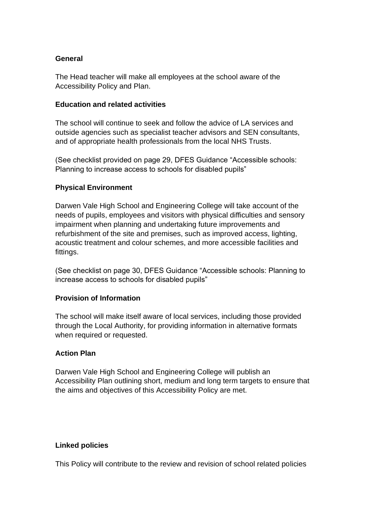#### **General**

The Head teacher will make all employees at the school aware of the Accessibility Policy and Plan.

#### **Education and related activities**

The school will continue to seek and follow the advice of LA services and outside agencies such as specialist teacher advisors and SEN consultants, and of appropriate health professionals from the local NHS Trusts.

(See checklist provided on page 29, DFES Guidance "Accessible schools: Planning to increase access to schools for disabled pupils"

#### **Physical Environment**

Darwen Vale High School and Engineering College will take account of the needs of pupils, employees and visitors with physical difficulties and sensory impairment when planning and undertaking future improvements and refurbishment of the site and premises, such as improved access, lighting, acoustic treatment and colour schemes, and more accessible facilities and fittings.

(See checklist on page 30, DFES Guidance "Accessible schools: Planning to increase access to schools for disabled pupils"

#### **Provision of Information**

The school will make itself aware of local services, including those provided through the Local Authority, for providing information in alternative formats when required or requested.

#### **Action Plan**

Darwen Vale High School and Engineering College will publish an Accessibility Plan outlining short, medium and long term targets to ensure that the aims and objectives of this Accessibility Policy are met.

#### **Linked policies**

This Policy will contribute to the review and revision of school related policies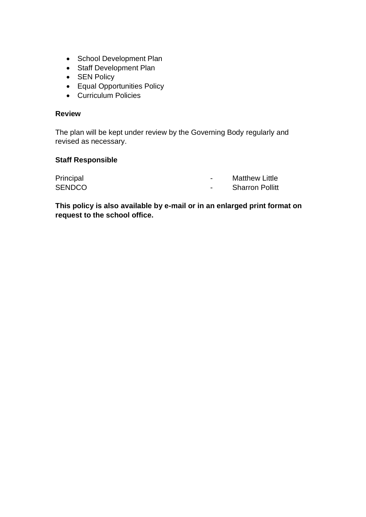- School Development Plan
- Staff Development Plan
- SEN Policy
- Equal Opportunities Policy
- Curriculum Policies

#### **Review**

The plan will be kept under review by the Governing Body regularly and revised as necessary.

#### **Staff Responsible**

| Principal     | $\blacksquare$ | <b>Matthew Little</b>  |
|---------------|----------------|------------------------|
| <b>SENDCO</b> |                | <b>Sharron Pollitt</b> |

**This policy is also available by e-mail or in an enlarged print format on request to the school office.**